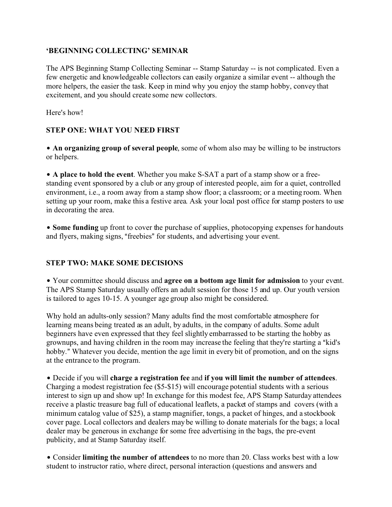#### **'BEGINNING COLLECTING' SEMINAR**

The APS Beginning Stamp Collecting Seminar -- Stamp Saturday -- is not complicated. Even a few energetic and knowledgeable collectors can easily organize a similar event -- although the more helpers, the easier the task. Keep in mind why you enjoy the stamp hobby, convey that excitement, and you should create some new collectors.

Here's how!

# **STEP ONE: WHAT YOU NEED FIRST**

• An organizing group of several people, some of whom also may be willing to be instructors or helpers.

• A place to hold the event. Whether you make S-SAT a part of a stamp show or a freestanding event sponsored by a club or any group of interested people, aim for a quiet, controlled environment, i.e., a room away from a stamp show floor; a classroom; or a meeting room. When setting up your room, make this a festive area. Ask your local post office for stamp posters to use in decorating the area.

• Some funding up front to cover the purchase of supplies, photocopying expenses for handouts and flyers, making signs, "freebies" for students, and advertising your event.

## **STEP TWO: MAKE SOME DECISIONS**

\$ Your committee should discuss and **agree on a bottom age limit for admission** to your event. The APS Stamp Saturday usually offers an adult session for those 15 and up. Our youth version is tailored to ages 10-15. A younger age group also might be considered.

Why hold an adults-only session? Many adults find the most comfortable atmosphere for learning means being treated as an adult, by adults, in the company of adults. Some adult beginners have even expressed that they feel slightly embarrassed to be starting the hobby as grownups, and having children in the room may increase the feeling that they're starting a "kid's hobby." Whatever you decide, mention the age limit in every bit of promotion, and on the signs at the entrance to the program.

\$ Decide if you will **charge a registration fee** and **if you will limit the number of attendees**. Charging a modest registration fee (\$5-\$15) will encourage potential students with a serious interest to sign up and show up! In exchange for this modest fee, APS Stamp Saturday attendees receive a plastic treasure bag full of educational leaflets, a packet of stamps and covers (with a minimum catalog value of \$25), a stamp magnifier, tongs, a packet of hinges, and a stockbook cover page. Local collectors and dealers may be willing to donate materials for the bags; a local dealer may be generous in exchange for some free advertising in the bags, the pre-event publicity, and at Stamp Saturday itself.

• Consider **limiting the number of attendees** to no more than 20. Class works best with a low student to instructor ratio, where direct, personal interaction (questions and answers and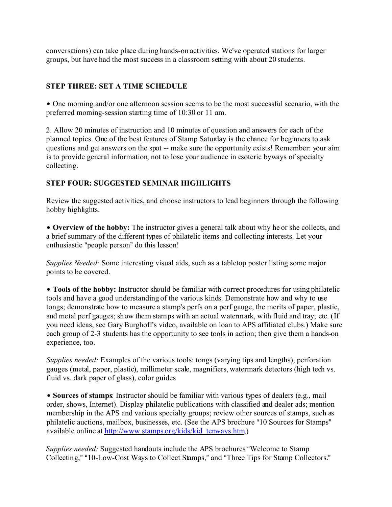conversations) can take place during hands-on activities. We've operated stations for larger groups, but have had the most success in a classroom setting with about 20 students.

# **STEP THREE: SET A TIME SCHEDULE**

• One morning and/or one afternoon session seems to be the most successful scenario, with the preferred morning-session starting time of 10:30 or 11 am.

2. Allow 20 minutes of instruction and 10 minutes of question and answers for each of the planned topics. One of the best features of Stamp Saturday is the chance for beginners to ask questions and get answers on the spot -- make sure the opportunity exists! Remember: your aim is to provide general information, not to lose your audience in esoteric byways of specialty collecting.

# **STEP FOUR: SUGGESTED SEMINAR HIGHLIGHTS**

Review the suggested activities, and choose instructors to lead beginners through the following hobby highlights.

• **Overview of the hobby:** The instructor gives a general talk about why he or she collects, and a brief summary of the different types of philatelic items and collecting interests. Let your enthusiastic "people person" do this lesson!

*Supplies Needed:* Some interesting visual aids, such as a tabletop poster listing some major points to be covered.

• **Tools of the hobby:** Instructor should be familiar with correct procedures for using philatelic tools and have a good understanding of the various kinds. Demonstrate how and why to use tongs; demonstrate how to measure a stamp's perfs on a perf gauge, the merits of paper, plastic, and metal perf gauges; show them stamps with an actual watermark, with fluid and tray; etc. (If you need ideas, see Gary Burghoff's video, available on loan to APS affiliated clubs.) Make sure each group of 2-3 students has the opportunity to see tools in action; then give them a hands-on experience, too.

*Supplies needed:* Examples of the various tools: tongs (varying tips and lengths), perforation gauges (metal, paper, plastic), millimeter scale, magnifiers, watermark detectors (high tech vs. fluid vs. dark paper of glass), color guides

**• Sources of stamps**: Instructor should be familiar with various types of dealers (e.g., mail order, shows, Internet). Display philatelic publications with classified and dealer ads; mention membership in the APS and various specialty groups; review other sources of stamps, such as philatelic auctions, mailbox, businesses, etc. (See the APS brochure "10 Sources for Stamps" available online at http://www.stamps.org/kids/kid\_tenways.htm.)

*Supplies needed:* Suggested handouts include the APS brochures "Welcome to Stamp Collecting," "10-Low-Cost Ways to Collect Stamps," and "Three Tips for Stamp Collectors."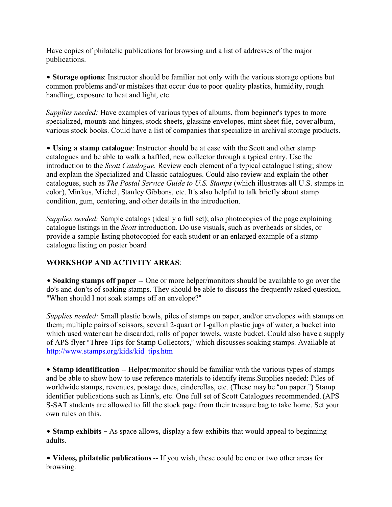Have copies of philatelic publications for browsing and a list of addresses of the major publications.

**• Storage options:** Instructor should be familiar not only with the various storage options but common problems and/or mistakes that occur due to poor quality plastics, humidity, rough handling, exposure to heat and light, etc.

*Supplies needed:* Have examples of various types of albums, from beginner's types to more specialized, mounts and hinges, stock sheets, glassine envelopes, mint sheet file, cover album, various stock books. Could have a list of companies that specialize in archival storage products.

• Using a stamp catalogue: Instructor should be at ease with the Scott and other stamp catalogues and be able to walk a baffled, new collector through a typical entry. Use the introduction to the *Scott Catalogue.* Review each element of a typical catalogue listing; show and explain the Specialized and Classic catalogues. Could also review and explain the other catalogues, such as *The Postal Service Guide to U.S. Stamps* (which illustrates all U.S. stamps in color), Minkus, Michel, Stanley Gibbons, etc. It's also helpful to talk briefly about stamp condition, gum, centering, and other details in the introduction.

*Supplies needed:* Sample catalogs (ideally a full set); also photocopies of the page explaining catalogue listings in the *Scott* introduction. Do use visuals, such as overheads or slides, or provide a sample listing photocopied for each student or an enlarged example of a stamp catalogue listing on poster board

## **WORKSHOP AND ACTIVITY AREAS**:

**• Soaking stamps off paper** -- One or more helper/monitors should be available to go over the do's and don'ts of soaking stamps. They should be able to discuss the frequently asked question, "When should I not soak stamps off an envelope?"

*Supplies needed:* Small plastic bowls, piles of stamps on paper, and/or envelopes with stamps on them; multiple pairs of scissors, several 2-quart or 1-gallon plastic jugs of water, a bucket into which used water can be discarded, rolls of paper towels, waste bucket. Could also have a supply of APS flyer "Three Tips for Stamp Collectors," which discusses soaking stamps. Available at http://www.stamps.org/kids/kid\_tips.htm

**• Stamp identification** -- Helper/monitor should be familiar with the various types of stamps and be able to show how to use reference materials to identify items.Supplies needed: Piles of worldwide stamps, revenues, postage dues, cinderellas, etc. (These may be "on paper.") Stamp identifier publications such as Linn's, etc. One full set of Scott Catalogues recommended. (APS S-SAT students are allowed to fill the stock page from their treasure bag to take home. Set your own rules on this.

• Stamp exhibits – As space allows, display a few exhibits that would appeal to beginning adults.

\$ **Videos, philatelic publications** -- If you wish, these could be one or two other areas for browsing.